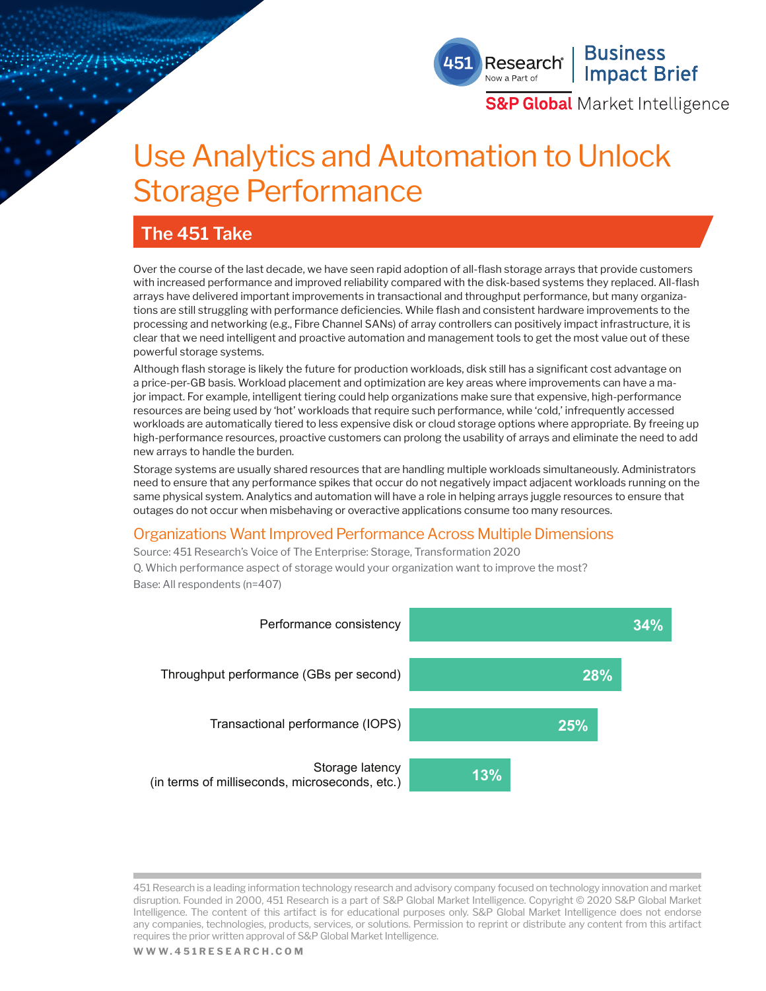## **Business** Research® **Impact Brief**

**S&P Global** Market Intelligence

# Use Analytics and Automation to Unlock Storage Performance

# **The 451 Take**

Over the course of the last decade, we have seen rapid adoption of all-flash storage arrays that provide customers with increased performance and improved reliability compared with the disk-based systems they replaced. All-flash arrays have delivered important improvements in transactional and throughput performance, but many organizations are still struggling with performance deficiencies. While flash and consistent hardware improvements to the processing and networking (e.g., Fibre Channel SANs) of array controllers can positively impact infrastructure, it is clear that we need intelligent and proactive automation and management tools to get the most value out of these powerful storage systems.

Although flash storage is likely the future for production workloads, disk still has a significant cost advantage on a price-per-GB basis. Workload placement and optimization are key areas where improvements can have a major impact. For example, intelligent tiering could help organizations make sure that expensive, high-performance resources are being used by 'hot' workloads that require such performance, while 'cold,' infrequently accessed workloads are automatically tiered to less expensive disk or cloud storage options where appropriate. By freeing up high-performance resources, proactive customers can prolong the usability of arrays and eliminate the need to add new arrays to handle the burden.

Storage systems are usually shared resources that are handling multiple workloads simultaneously. Administrators need to ensure that any performance spikes that occur do not negatively impact adjacent workloads running on the same physical system. Analytics and automation will have a role in helping arrays juggle resources to ensure that outages do not occur when misbehaving or overactive applications consume too many resources.

### Organizations Want Improved Performance Across Multiple Dimensions

Source: 451 Research's Voice of The Enterprise: Storage, Transformation 2020 Q. Which performance aspect of storage would your organization want to improve the most? Base: All respondents (n=407)



451 Research is a leading information technology research and advisory company focused on technology innovation and market disruption. Founded in 2000, 451 Research is a part of S&P Global Market Intelligence. Copyright © 2020 S&P Global Market Intelligence. The content of this artifact is for educational purposes only. S&P Global Market Intelligence does not endorse any companies, technologies, products, services, or solutions. Permission to reprint or distribute any content from this artifact requires the prior written approval of S&P Global Market Intelligence.